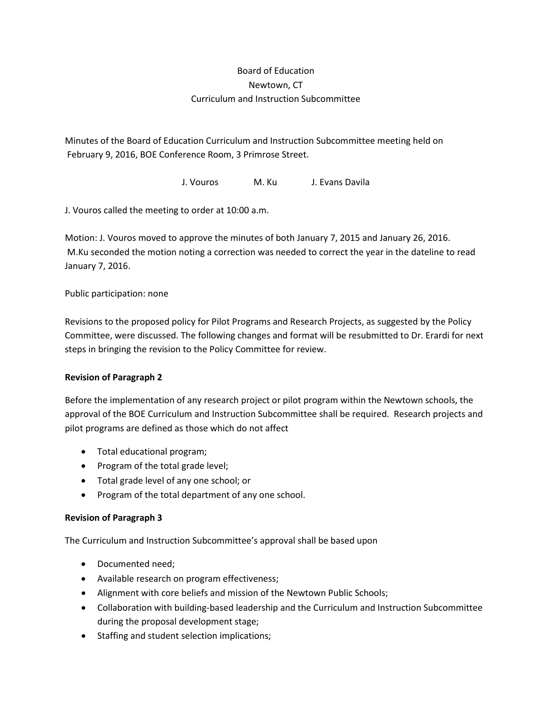# Board of Education Newtown, CT Curriculum and Instruction Subcommittee

Minutes of the Board of Education Curriculum and Instruction Subcommittee meeting held on February 9, 2016, BOE Conference Room, 3 Primrose Street.

J. Vouros M. Ku J. Evans Davila

J. Vouros called the meeting to order at 10:00 a.m.

Motion: J. Vouros moved to approve the minutes of both January 7, 2015 and January 26, 2016. M.Ku seconded the motion noting a correction was needed to correct the year in the dateline to read January 7, 2016.

## Public participation: none

Revisions to the proposed policy for Pilot Programs and Research Projects, as suggested by the Policy Committee, were discussed. The following changes and format will be resubmitted to Dr. Erardi for next steps in bringing the revision to the Policy Committee for review.

#### **Revision of Paragraph 2**

Before the implementation of any research project or pilot program within the Newtown schools, the approval of the BOE Curriculum and Instruction Subcommittee shall be required. Research projects and pilot programs are defined as those which do not affect

- Total educational program;
- Program of the total grade level;
- Total grade level of any one school; or
- Program of the total department of any one school.

# **Revision of Paragraph 3**

The Curriculum and Instruction Subcommittee's approval shall be based upon

- Documented need;
- Available research on program effectiveness;
- Alignment with core beliefs and mission of the Newtown Public Schools;
- Collaboration with building-based leadership and the Curriculum and Instruction Subcommittee during the proposal development stage;
- Staffing and student selection implications;